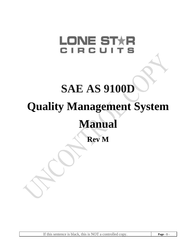# **LONE STXR** CIRCUI **SAE AS 9100D Quality Management System Manual Rev M**

If this sentence is black, this is NOT a controlled copy. **Page - 1 -**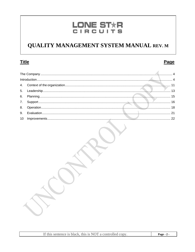## LONE STXR<br>CIRCUITS

## **QUALITY MANAGEMENT SYSTEM MANUAL REV. M**

## **Title**

## Page

han k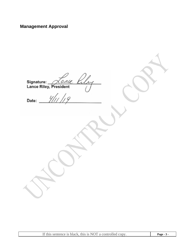## **Management Approval**

| Signature: <i>Lance Coley</i> |  |
|-------------------------------|--|
| $y _U _19$<br>Date:           |  |
|                               |  |
|                               |  |
|                               |  |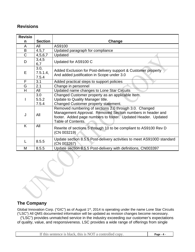## **Revisions**

| <b>Revisio</b> |                           |                                                                                                                                                                                                             |  |
|----------------|---------------------------|-------------------------------------------------------------------------------------------------------------------------------------------------------------------------------------------------------------|--|
| n              | <b>Section</b>            | Change                                                                                                                                                                                                      |  |
| A              | All                       | AS9100                                                                                                                                                                                                      |  |
| B              | 4.5,7                     | Updated paragraph for compliance                                                                                                                                                                            |  |
| $\overline{C}$ | 4,5,6,7                   | Updated                                                                                                                                                                                                     |  |
| D              | 3,4,5<br>6,7              | Updated for AS9100 C                                                                                                                                                                                        |  |
| E              | 3.0,<br>7.5.1.4,<br>7.5.4 | Added Exclusion for Post-delivery support & Customer property<br>And added justification in Scope under 3.0                                                                                                 |  |
| F              | 3.1                       | Added practical steps to support policies                                                                                                                                                                   |  |
| G              | 2.1                       | Change in personnel                                                                                                                                                                                         |  |
| H              | All                       | Updated name changes to Lone Star Circuits                                                                                                                                                                  |  |
|                | 3.0<br>5.5.2<br>7.5.4     | Changed Customer property as an applicable Item.<br>Update to Quality Manager title.<br>Changed Customer property statement.                                                                                |  |
| J              | All                       | Removed numbering of sections 2.0 through 3.0. Changed<br>Management Approval. Removed Section numbers in header and<br>footer. Added page numbers to footer. Updated Header. Updated<br>Table of Contents. |  |
| K              | All                       | Rewrite of sections 5 through 10 to be compliant to AS9100 Rev D<br>(CN 003219)                                                                                                                             |  |
| L              | 8.5.5                     | Update section 8.5.5 Post-delivery activities to meet AS9100D standard<br>(CN 003267)                                                                                                                       |  |
| М              | 8.5.5                     | Update section 8.5.5 Post-delivery with definitions, CN003397                                                                                                                                               |  |

**The Company** 

Global Innovation Corp. ("GIC") as of August 1<sup>st</sup>, 2014 is operating under the name Lone Star Circuits ("LSC") All QMS documented information will be updated as revision changes become necessary.

 ("LSC") provides unmatched service in the industry exceeding our customer's expectations of quality, value, and responsiveness. LSC provides a wide range of offerings from single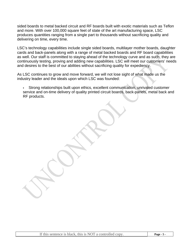sided boards to metal backed circuit and RF boards built with exotic materials such as Teflon and more. With over 100,000 square feet of state of the art manufacturing space, LSC produces quantities ranging from a single part to thousands without sacrificing quality and delivering on time, every time.

LSC's technology capabilities include single sided boards, multilayer mother boards, daughter cards and back-panels along with a range of metal backed boards and RF board capabilities as well. Our staff is committed to staying ahead of the technology curve and as such, they are continuously testing, proving and adding new capabilities. LSC will meet our customers' needs and desires to the best of our abilities without sacrificing quality for expediency.

As LSC continues to grow and move forward, we will not lose sight of what made us the industry leader and the ideals upon which LSC was founded:

 Strong relationships built upon ethics, excellent communication, unrivaled customer service and on-time delivery of quality printed circuit boards, back-panels, metal back and RF products.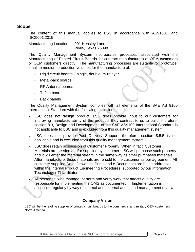#### **Scope**

The content of this manual applies to LSC in accordance with AS9100D and ISO9001:2015

Manufacturing Location: 901 Hensley Lane Wylie, Texas 75098

The Quality Management System incorporates processes associated with the Manufacturing of Printed Circuit Boards for contract manufacturers of OEM customers or OEM customers directly. The manufacturing processes are suitable for prototype, small to medium production volumes for the manufacture of:

- Rigid circuit boards single, double, multilayer
- Metal-back boards
- RF Antenna boards
- Teflon boards
- Back panels

The Quality Management System complies with all elements of the SAE AS 9100 International Standard with the following exclusion:

- LSC does not design product. LSC does provide input to our customers for improving manufacturability of the products they contract to us to build, therefore, section 8.3, Design and Development, of the SAE AS9100 International Standard is not applicable to LSC and is excluded from this quality management system.
- LSC does not provide Post Delivery Support; therefore, section 8.5.5 is not applicable and is excluded from this quality management system.
- LSC does retain possession of Customer Property. When in fact, Customer Materials are needed and/or supplied by customer, LSC will purchase such property and it will enter the material stream in the same way as other purchased materials. After manufacture, those materials are re-sold to the customer as per agreement. All customer supplied Data, Drawings, Prints and e-Documents are being addressed within the internal Product Engineering Procedures, supported by our Information Technology (IT) facilitator.
- All personnel who manage, perform and verify work that affects quality are responsible for implementing the QMS as documented. Implementation is assessed regularly by way of internal and external audits and management review.

#### **Company Vision**

 LSC will be the leading supplier of printed circuit boards to the commercial and military OEM customers in North America.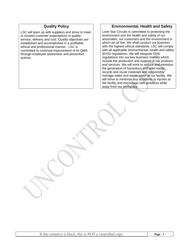#### **Quality Policy**

LSC will team up with suppliers and strive to meet or exceed customer expectations in quality, service, delivery and cost. Quality objectives are established and accomplished in a profitable, ethical and professional manner. LSC is committed to continual improvement of its QMS through employee awareness and preventive actions.

#### **Environmental, Health and Safety**

Lone Star Circuits is committed to protecting the environment and the health and safety of our associates, our customers and the environment in which we all live. We shall conduct our business with the highest ethical standards. LSC will comply with all applicable environmental, health and safety (EHS) regulations. We will integrate EHS regulations into our key business matters which include the production and support of our products and services. We will work to reduce and minimize the generation of hazardous and solid waste, recycle and reuse materials and responsibly manage water and waste water at our facility. We will strive to minimize any accidents or injuries at the facility and encourage safe practices while away from our workplace.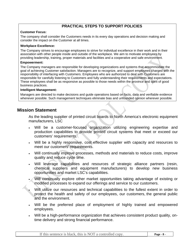#### **PRACTICAL STEPS TO SUPPORT POLICIES**

#### **Customer Focus:**

The company shall consider the Customers needs in its every day operations and decision making and consider the impact on the Customer at all times.

#### **Workplace Excellence:**

The Company strives to encourage employees to strive for individual excellence in their work and in their association with other people inside and outside of the workplace. We aim to motivate employees by providing leadership, training, proper materials and facilities and a cooperative and safe environment.

#### **Empowerment:**

The Company managers are responsible for developing organizations and systems that accommodate the goal of achieving Customer satisfaction. Managers are to recognize, and support employees charged with the responsibility of interfacing with Customers. Employees who are authorized to deal with Customers are responsible for carefully listening to Customers and fully understanding their requirements and expectations. These employees shall be as responsive as possible to those needs within the province and spirit of good business practices.

#### **Intelligent Management:**

Managers are directed to make decisions and guide operations based on facts, data and verifiable evidence whenever possible. Such management techniques eliminate bias and unfounded opinion wherever possible.

#### **Mission Statement**

As the leading supplier of printed circuit boards to North America's electronic equipment manufacturers, LSC

- Will be a customer-focused organization utilizing engineering expertise and production capabilities to provide printed circuit systems that meet or exceed our customers' requirements.
- Will be a highly responsive, cost effective supplier with capacity and resources to meet our customers' requirements.
- Will continually improve processes, methods and materials to reduce costs, improve quality and reduce cycle time.
- Will leverage capabilities and resources of strategic alliance partners (resin, chemical suppliers and equipment manufacturers) to develop new business opportunities and market LSC's capabilities.
- Will continually explore other market opportunities taking advantage of existing or modified processes to expand our offerings and service to our customers.
- Will utilize our resources and technical capabilities to the fullest extent in order to protect the health and safety of our employees, our customers, the general public and the environment.
- Will be the preferred place of employment of highly trained and empowered employees.
- Will be a high-performance organization that achieves consistent product quality, ontime delivery and strong financial performance.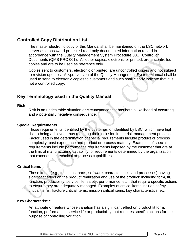## **Controlled Copy Distribution List**

The master electronic copy of this Manual shall be maintained on the LSC network server as a password protected read-only documented information record in accordance with the Quality Management System Procedure 001 Control of Documents (QMS PRC 001). All other copies, electronic or printed, are uncontrolled copies and are to be used as reference only.

Copies sent to customers, electronic or printed, are uncontrolled copies and not subject to revision updates. A \*.pdf version of the Quality Management System Manual shall be used to send to electronic copies to customers and such shall clearly indicate that it is not a controlled copy.

## **Key Terminology used in the Quality Manual**

#### **Risk**

Risk is an undesirable situation or circumstance that has both a likelihood of occurring and a potentially negative consequence.

#### **Special Requirements**

Those requirements identified by the customer, or identified by LSC, which have high risk to being achieved, thus requiring their inclusion in the risk management process. Factor used in the determination of special requirements include product or process complexity, past experience and product or process maturity. Examples of special requirements include performance requirements imposed by the customer that are at the limit of manufacturing capability, or requirements determined by the organization that exceeds the technical or process capabilities.

#### **Critical Items**

Those items (e.g., functions, parts, software, characteristics, and processes) having significant effect on the product realization and use of the product: including form, fit, function, producibility, service life, safety, performance, etc.; that require specific actions to ensure they are adequately managed. Examples of critical items include safety critical items, fracture critical items, mission critical items, key characteristics, etc.

#### **Key Characteristic**

An attribute or feature whose variation has a significant effect on product fit form, function, performance, service life or producibility that requires specific actions for the purpose of controlling variation.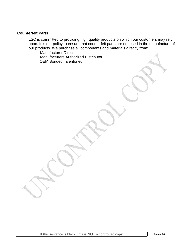#### **Counterfeit Parts**

Tana k

LSC is committed to providing high quality products on which our customers may rely upon. It is our policy to ensure that counterfeit parts are not used in the manufacture of our products. We purchase all components and materials directly from:

Manufacturer Direct Manufacturers Authorized Distributor OEM Bonded Inventoried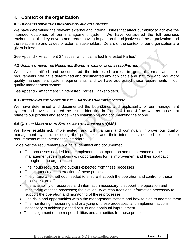## **4. Context of the organization**

#### *4.1 UNDERSTANDING THE ORGANIZATION AND ITS CONTEXT*

We have determined the relevant external and internal issues that affect our ability to achieve the intended outcomes of our management system. We have considered the full business environment, the key drivers and trends having impact on the objectives of the organization and the relationship and values of external stakeholders. Details of the context of our organization are given below:

See Appendix Attachment 2 "Issues, which can affect Interested Parties"

#### *4.2 UNDERSTANDING THE NEEDS AND EXPECTATIONS OF INTERESTED PARTIES*

We have identified and documented the interested parties in general terms, and their requirements. We have determined and documented any applicable and statutory and regulatory quality management system requirements, and we have addressed these requirements in our quality management system.

See Appendix Attachment 3 "Interested Parties (Stakeholders)

#### *4.3 DETERMINING THE SCOPE OF THE QUALITY MANAGEMENT SYSTEM*

We have determined and documented the boundaries and applicability of our management system and have considered the issues identified in Clause 4.1 and 4.2 as well as those that relate to our product and service when establishing and documenting the scope.

#### *4.4 QUALITY MANAGEMENT SYSTEM AND ITS PROCESSES (QMS)*

We have established, implemented, and will maintain and continually improve our quality management system, including the processes and their interactions needed to meet the requirements of the international standard.

To deliver the requirements, we have identified and documented:

- The processes needed for the implementation, operation and maintenance of the management system along with opportunities for its improvement and their application throughout the organization
- The inputs required, and outputs expected from these processes
- The sequence and interaction of these processes
- The criteria and methods needed to ensure that both the operation and control of these processes are effective
- The availability of resources and information necessary to support the operation and monitoring of these processes; the availability of resources and information necessary to support the operation and monitoring of these processes
- The risks and opportunities within the management system and how to plan to address them
- The monitoring, measuring and analyzing of these processes, and implement actions necessary to achieve planned results and continual improvement
- The assignment of the responsibilities and authorities for these processes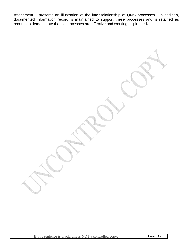Attachment 1 presents an illustration of the inter-relationship of QMS processes. In addition, documented information record is maintained to support these processes and is retained as records to demonstrate that all processes are effective and working as planned**.** 

 $\sqrt{2}$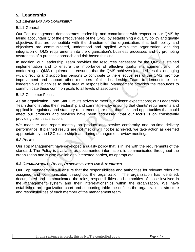## **5. Leadership**

#### *5.1 LEADERSHIP AND COMMITMENT*

#### 5.1.1 General

Our Top management demonstrates leadership and commitment with respect to our QMS by taking accountability of the effectiveness of the QMS; by establishing a quality policy and quality objectives that are compatible with the direction of the organization; that both policy and objectives are communicated, understood and applied within the organization; ensuring integration of QMS requirements into the organization's business processes and by promoting awareness of a process approach and risk based thinking.

In addition, our Leadership Team provides the resources necessary for the QMS; sustained implementation and to ensure the importance of effective quality management and of conforming to QMS requirements; ensuring that the QMS achieves intended results; engaging with, directing and supporting persons to contribute to the effectiveness of the QMS; promote improvement and support other members of the Leadership Team to demonstrate their leadership as it applies to their area of responsibility. Management provides the resources to communicate these common goals to all levels of associates.

#### 5.1.2 Customer Focus

As an organization, Lone Star Circuits strives to meet our clients' expectations; our Leadership Team demonstrates their leadership and commitment by ensuring that clients' requirements and applicable regulatory and statutory requirements are met; that risks and opportunities that could affect our products and services have been addressed; that our focus is on consistently providing client satisfaction.

We measure and report monthly on product and service conformity and on-time delivery performance. If planned results are not met or will not be achieved, we take action as deemed appropriate by the LSC leadership team during management review meetings.

#### *5.2 POLICY*

Our Top Management have developed a quality policy that is in line with the requirements of the standard. The Policy is available as documented information, is communicated throughout the organization and is also available to interested parties, as appropriate.

#### *5.3 ORGANIZATIONAL ROLES, RESPONSIBILITIES AND AUTHORITIES*

Our Top management will ensure that the responsibilities and authorities for relevant roles are assigned and communicated throughout the organization. The organization has identified, documented and communicated the roles, responsibilities and authorities of those involved in the management system and their interrelationships within the organization. We have established an organization chart and supporting table the defines the organizational structure and responsibilities of each member of the management team.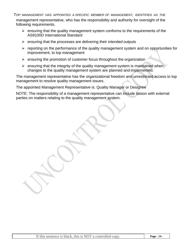*TOP MANAGEMENT HAS APPOINTED A SPECIFIC MEMBER OF MANAGEMENT, IDENTIFIED AS THE* management representative, who has the responsibility and authority for oversight of the following requirements.

- $\triangleright$  ensuring that the quality management system conforms to the requirements of the AS9100D International Standard
- $\triangleright$  ensuring that the processes are delivering their intended outputs
- ¾ reporting on the performance of the quality management system and on opportunities for improvement, to top management
- $\triangleright$  ensuring the promotion of customer focus throughout the organization
- $\triangleright$  ensuring that the integrity of the quality management system is maintained when changes to the quality management system are planned and implemented.

The management representative has the organizational freedom and unrestricted access to top management to resolve quality management issues.

The appointed Management Representative is: Quality Manager or Designee

NOTE: The responsibility of a management representative can include liaison with external parties on matters relating to the quality management system.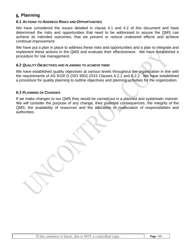## **6. Planning**

#### *6.1 ACTIONS TO ADDRESS RISKS AND OPPORTUNITIES*

We have considered the issues detailed in clause 4.1 and 4.2 of this document and have determined the risks and opportunities that need to be addressed to assure the QMS can achieve its intended outcomes; that we prevent or reduce undesired effects and achieve continual improvement.

We have put a plan in place to address these risks and opportunities and a plan to integrate and implement these actions in the QMS and evaluate their effectiveness. We have established a procedure for risk management.

#### *6.2 QUALITY OBJECTIVES AND PLANNING TO ACHIEVE THEM*

We have established quality objectives at various levels throughout the organization in line with the requirements of AS 9100 D (ISO 9001:2015 Clauses 6.2.1 and 6.2.2. We have established a procedure for quality planning to outline objectives and planning activities for the organization.

#### *6.3 PLANNING OF CHANGES*

If we make changes to our QMS they would be carried out in a planned and systematic manner. We will consider the purpose of any change, their potential consequences, the integrity of the QMS, the availability of resources and the allocation or reallocation of responsibilities and authorities.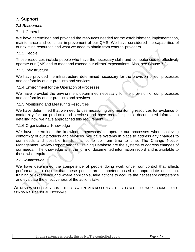## **7. Support**

#### *7.1 RESOURCES*

#### 7.1.1 General

We have determined and provided the resources needed for the establishment, implementation, maintenance and continual improvement of our QMS. We have considered the capabilities of our existing resources and what we need to obtain from external providers.

#### 7.1.2 People

Those resources include people who have the necessary skills and competencies to effectively operate our QMS and to meet and exceed our clients' expectations. Also, see Clause 7.2.

#### 7.1.3 Infrastructure

We have provided the infrastructure determined necessary for the provision of our processes and conformity of our products and services.

#### 7.1.4 Environment for the Operation of Processes

We have provided the environment determined necessary for the provision of our processes and conformity of our products and services.

#### 7.1.5 Monitoring and Measuring Resources

We have determined that we need to use measuring and monitoring resources for evidence of conformity for our products and services and have created specific documented information detailing how we have approached this requirement.

#### 7.1.6 Organizational Knowledge

We have determined the knowledge necessary to operate our processes when achieving conformity of our products and services. We have systems in place to address any changes to our needs and possible trends that come up from time to time. The Change Notice, Management Review Report and the Training Database are the systems to address changes of our needs. The knowledge is in the form of documented information record and is available to those who require it.

#### *7.2 COMPETENCE*

We have determined the competence of people doing work under our control that affects performance to ensure that these people are competent based on appropriate education, training or experience and where applicable, take actions to acquire the necessary competence and evaluate the effectiveness of the actions taken.

WE REVIEW NECESSARY COMPETENCES WHENEVER RESPONSIBILITIES OR SCOPE OF WORK CHANGE, AND AT NOMINALLY ANNUAL INTERVALS.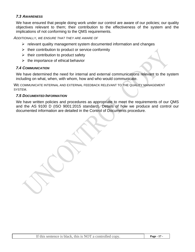#### *7.3 AWARENESS*

We have ensured that people doing work under our control are aware of our policies; our quality objectives relevant to them; their contribution to the effectiveness of the system and the implications of not conforming to the QMS requirements.

*ADDITIONALLY, WE ENSURE THAT THEY ARE AWARE OF*

- $\triangleright$  relevant quality management system documented information and changes
- $\triangleright$  their contribution to product or service conformity
- $\triangleright$  their contribution to product safety
- $\triangleright$  the importance of ethical behavior

#### *7.4 COMMUNICATION*

We have determined the need for internal and external communications relevant to the system including on what, when, with whom, how and who would communicate.

WE COMMUNICATE INTERNAL AND EXTERNAL FEEDBACK RELEVANT TO THE QUALITY MANAGEMENT SYSTEM.

#### *7.5 DOCUMENTED INFORMATION*

We have written policies and procedures as appropriate to meet the requirements of our QMS and the AS 9100 D (ISO 9001:2015 standard). Details of how we produce and control our documented information are detailed in the Control of Documents procedure.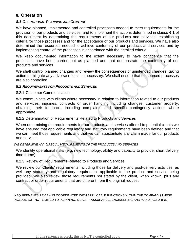## **8. Operation**

#### *8.1 OPERATIONAL PLANNING AND CONTROL*

We have planned, implemented and controlled processes needed to meet requirements for the provision of our products and services, and to implement the actions determined in clause **6.1** of this document by determining the requirements of our products and services; establishing criteria for those processes and for the acceptance of our products and services. We have also determined the resources needed to achieve conformity of our products and services and by implementing control of the processes in accordance with the detailed criteria.

We keep documented information to the extent necessary to have confidence that the processes have been carried out as planned and that demonstrate the conformity of our products and services.

We shall control planned changes and review the consequences of unintended changes, taking action to mitigate any adverse effects as necessary. We shall ensure that outsourced processes are also controlled.

#### *8.2 REQUIREMENTS FOR PRODUCTS AND SERVICES*

8.2.1 Customer Communication

We communicate with clients where necessary in relation to information related to our products and services, inquiries, contracts or order handling including changes, customer property, obtaining their feedback, including complaints and specific contingency actions where appropriate.

#### 8.2.2 Determination of Requirements Related to Products and Services

When determining the requirements for our products and services offered to potential clients we have ensured that applicable regulatory and statutory requirements have been defined and that we can meet those requirements and that we can substantiate any claim made for our products and services.

#### *WE DETERMINE ANY SPECIAL REQUIREMENTS OF THE PRODUCTS AND SERVICES*

We identify operational risks (e.g. new technology, ability and capacity to provide, short delivery time frame)

#### 8.2.3 Review of Requirements Related to Products and Services

We review our Clients' requirements including those for delivery and post-delivery activities; as well any statutory and regulatory requirement applicable to the product and service being provided. We also review those requirements not stated by the client, when known, plus any contract or order requirements that are different from the original request.

REQUIREMENTS REVIEW IS COORDINATED WITH APPLICABLE FUNCTIONS WITHIN THE COMPANY (THESE INCLUDE BUT NOT LIMITED TO PLANNING, QUALITY ASSURANCE, ENGINEERING AND MANUFACTURING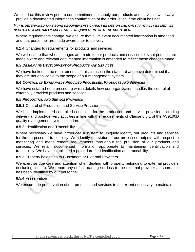We conduct this review prior to our commitment to supply our products and services; we always provide a documented information confirmation of the order, even if the client has not.

#### *IF IT IS DETERMINED THAT SOME REQUIREMENTS CANNOT BE MET OR CAN ONLY PARTIALLY BE MET, WE NEGOTIATE A MUTUALLY ACCEPTABLE REQUIREMENT WITH THE CUSTOMER.*

Where requirements change, we ensure that all relevant documented information is amended and that personnel are made aware prior to delivery.

#### 8.2.4 Changes to requirements for products and services

We will ensure that when changes are made to our products and services relevant persons are made aware and relevant documented information is amended to reflect those changes made.

#### *8.3 DESIGN AND DEVELOPMENT OF PRODUCTS AND SERVICES*

We have looked at the requirements of this clause in the standard and have determined that they are not applicable to the scope of our management system.

#### *8.4 CONTROL OF EXTERNALLY PROVIDED PROCESSES, PRODUCTS AND SERVICES*

We have established a procedure which details how our organization handles the control of externally provided products and services.

#### *8.5 PRODUCTION AND SERVICE PROVISION*

#### **8.5.1 Control of Production and Service Provision**

We have implemented controlled conditions for the production and service provision, including delivery and post-delivery activities in line with the requirements of Clause 8.5.1 of the AS9100D quality management system standard.

#### **8.5.2** Identification and Traceability

Where necessary we have introduced a system to uniquely identify our products and services for the purposes of traceability. We identify the status of our processed outputs with respect to monitoring and measurement requirements throughout the provision of our products and services. We retain documented information appropriate to maintaining identification and traceability. We have established a procedure for identification and traceability.

#### **8.5.3** Property belonging to Customers or External Providers

We exercise due care and attention when dealing with property belonging to external providers (including clients). We report any defect, damage or loss to the external provider as soon as it has been identified by our personnel.

#### **8.5.4** Preservation

We ensure the preservation of our products and services to the extent necessary to maintain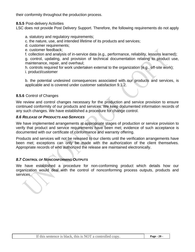their conformity throughout the production process.

**8.5.5** Post-delivery Activities

LSC does not provide Post Delivery Support. Therefore, the following requirements do not apply

a. statutory and regulatory requirements;

c. the nature, use, and intended lifetime of its products and services;

d. customer requirements;

e. customer feedback;

f. collection and analysis of in-service data (e.g., performance, reliability, lessons learned);

g. control, updating, and provision of technical documentation relating to product use, maintenance, repair, and overhaul;

h. controls required for work undertaken external to the organization (e.g., off-site work);

i. product/customer

b. the potential undesired consequences associated with our products and services, is applicable and is covered under customer satisfaction 9.1.2.

#### **8.5.6** Control of Changes

And only on the contract of

We review and control changes necessary for the production and service provision to ensure continued conformity of our products and services. We keep documented information records of any such changes. We have established a procedure for change control.

#### *8.6 RELEASE OF PRODUCTS AND SERVICES*

We have implemented arrangements at appropriate stages of production or service provision to verify that product and service requirements have been met; evidence of such acceptance is documented with our certificate of conformance and warranty offering.

Products and services will not be released to our clients until the verification arrangements have been met; exceptions can only be made with the authorization of the client themselves. Appropriate records of who authorized the release are maintained electronically.

#### *8.7 CONTROL OF NONCONFORMING OUTPUTS*

We have established a procedure for non-conforming product which details how our organization would deal with the control of nonconforming process outputs, products and<br>contiened services.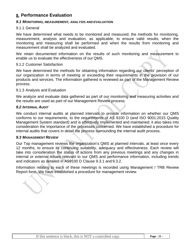## **9. Performance Evaluation**

#### *9.1 MONITORING, MEASUREMENT, ANALYSIS AND EVALUATION*

#### 9.1.1 General

We have determined what needs to be monitored and measured; the methods for monitoring, measurement, analysis and evaluation, as applicable, to ensure valid results; when the monitoring and measuring shall be performed and when the results from monitoring and measurement shall be analyzed and evaluated.

We retain documented information on the results of such monitoring and measurement to enable us to evaluate the effectiveness of our QMS.

#### 9.1.2 Customer Satisfaction

We have determined the methods for obtaining information regarding our clients' perception of our organization in terms of meeting or exceeding their requirements in the provision of our products and services. The information gathered is reviewed as part of the Management Review process.

#### 9.1.3 Analysis and Evaluation

We analyze and evaluate data gathered as part of our monitoring and measuring activities and the results are used as part of our Management Review process.

#### *9.2 INTERNAL AUDIT*

We conduct internal audits at planned intervals to provide information on whether our QMS conforms to our requirements, to the requirements of AS 9100 D (and ISO 9001:2015 Quality Management System standard) and is effectively implemented and maintained; it also takes into consideration the importance of the processes concerned. We have established a procedure for internal audits that covers in detail the process surrounding the internal audit process.

#### *9.3 MANAGEMENT REVIEW*

Our Top management reviews the organization's QMS at planned intervals, at least once every 12 months, to ensure its continuing suitability, adequacy and effectiveness. Each review will take into consideration the status of actions from any previous meetings and any changes in internal or external issues relevant to our QMS and performance information, including trends and indicators as detailed in AS9100 D Clause 9.3.1 and 9.3.2.

Information relating to each of these meetings is recorded using Management / TRB Review Report form. We have established a procedure for management review.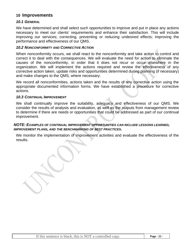#### **10 Improvements**

#### *10.1 GENERAL*

We have determined and shall select such opportunities to improve and put in place any actions necessary to meet our clients' requirements and enhance their satisfaction. This will include improving our services; correcting, preventing or reducing undesired effects; improving the performance and effectiveness of our QMS.

#### *10.2 NONCONFORMITY AND CORRECTIVE ACTION*

When nonconformity occurs, we shall react to the nonconformity and take action to control and correct it to deal with the consequences. We will evaluate the need for action to eliminate the causes of the nonconformity, in order that it does not recur or occur elsewhere in the organization. We will implement the actions required and review the effectiveness of any corrective action taken, update risks and opportunities determined during planning (if necessary) and make changes to the QMS, where necessary.

We record all nonconformities, actions taken and the results of any corrective action using the appropriate documented information forms. We have established a procedure for corrective actions.

#### *10.3 CONTINUAL IMPROVEMENT*

We shall continually improve the suitability, adequacy and effectiveness of our QMS. We consider the results of analysis and evaluation, as well as the outputs from management review to determine if there are needs or opportunities that could be addressed as part of our continual improvement.

#### *NOTE: EXAMPLES OF CONTINUAL IMPROVEMENT OPPORTUNITIES CAN INCLUDE LESSONS LEARNED, IMPROVEMENT PLANS, AND THE BENCHMARKING OF BEST PRACTICES.*

We monitor the implementation of improvement activities and evaluate the effectiveness of the results.

If this sentence is black, this is NOT a controlled copy. **Page - 22 -**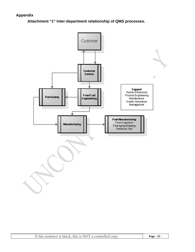#### **Appendix**

**Attachment "1" Inter-department relationship of QMS processes.** 

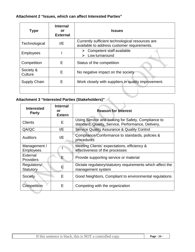#### **Attachment 2 "Issues, which can affect Interested Parties"**

| Currently sufficient technological resources are<br>I/E<br>Technological<br>available to address customer requirements.<br>Competent staff available<br>➤<br><b>Employees</b><br>Low turnaround<br>Е<br>Competition<br>Status of the competition<br>Society &<br>Е<br>No negative impact on the society<br>Culture<br>Work closely with suppliers in quality improvement.<br>E<br>Supply Chain | <b>Type</b> | <b>Internal</b><br>or<br><b>External</b> | <b>Issues</b> |
|------------------------------------------------------------------------------------------------------------------------------------------------------------------------------------------------------------------------------------------------------------------------------------------------------------------------------------------------------------------------------------------------|-------------|------------------------------------------|---------------|
|                                                                                                                                                                                                                                                                                                                                                                                                |             |                                          |               |
|                                                                                                                                                                                                                                                                                                                                                                                                |             |                                          |               |
|                                                                                                                                                                                                                                                                                                                                                                                                |             |                                          |               |
|                                                                                                                                                                                                                                                                                                                                                                                                |             |                                          |               |
|                                                                                                                                                                                                                                                                                                                                                                                                |             |                                          |               |
|                                                                                                                                                                                                                                                                                                                                                                                                |             |                                          |               |

## **Attachment 3 "Interested Parties (Stakeholders)"**

| <b>Interested</b><br><b>Party</b> | <b>Internal</b><br>or<br><b>Extern</b> | <b>Reason for Interest</b>                                                                                |  |
|-----------------------------------|----------------------------------------|-----------------------------------------------------------------------------------------------------------|--|
| <b>Clients</b>                    | Е                                      | Using Service and looking for Safety, Compliance to<br>standard, Quality, Service, Performance, Delivery, |  |
| QA/QC                             | I/E                                    | <b>Service Quality Assurance &amp; Quality Control</b>                                                    |  |
| <b>Auditors</b>                   | I/E                                    | Compliance/Conformance to standards, policies &<br>procedures                                             |  |
| Management /<br><b>Employees</b>  |                                        | Meeting Clients' expectations, efficiency &<br>effectiveness of the processes                             |  |
| External<br><b>Providers</b>      | Е                                      | Provide supporting service or material                                                                    |  |
| Regulators/<br><b>Statutory</b>   | Е                                      | Dictate regulatory/statutory requirements which affect the<br>management system                           |  |
| Society                           | E                                      | Good Neighbors, Compliant to environmental regulations                                                    |  |
| Competition                       | E                                      | Competing with the organization                                                                           |  |
|                                   |                                        |                                                                                                           |  |